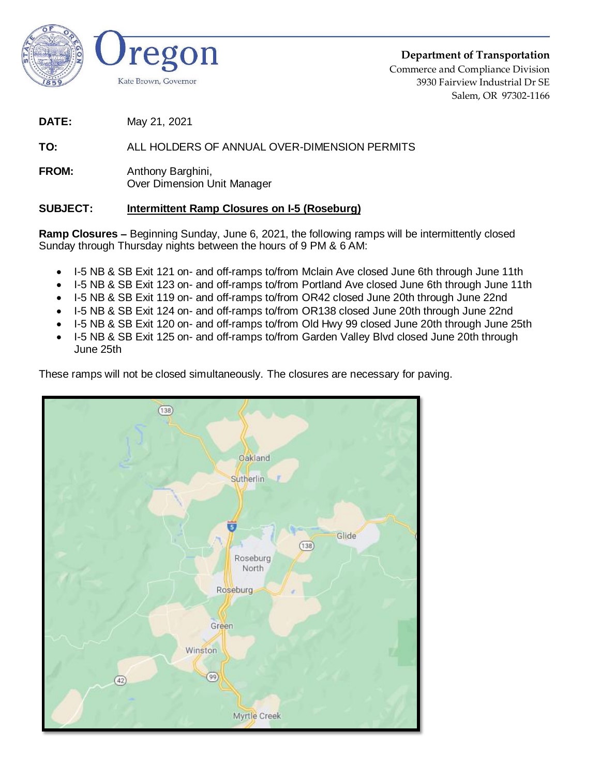

**Department of Transportation** Commerce and Compliance Division 3930 Fairview Industrial Dr SE Salem, OR 97302-1166

**DATE:** May 21, 2021

## **TO:** ALL HOLDERS OF ANNUAL OVER-DIMENSION PERMITS

**FROM:** Anthony Barghini, Over Dimension Unit Manager

## **SUBJECT: Intermittent Ramp Closures on I-5 (Roseburg)**

**Ramp Closures –** Beginning Sunday, June 6, 2021, the following ramps will be intermittently closed Sunday through Thursday nights between the hours of 9 PM & 6 AM:

- I-5 NB & SB Exit 121 on- and off-ramps to/from Mclain Ave closed June 6th through June 11th
- I-5 NB & SB Exit 123 on- and off-ramps to/from Portland Ave closed June 6th through June 11th
- I-5 NB & SB Exit 119 on- and off-ramps to/from OR42 closed June 20th through June 22nd
- I-5 NB & SB Exit 124 on- and off-ramps to/from OR138 closed June 20th through June 22nd
- I-5 NB & SB Exit 120 on- and off-ramps to/from Old Hwy 99 closed June 20th through June 25th
- I-5 NB & SB Exit 125 on- and off-ramps to/from Garden Valley Blvd closed June 20th through June 25th

These ramps will not be closed simultaneously. The closures are necessary for paving.